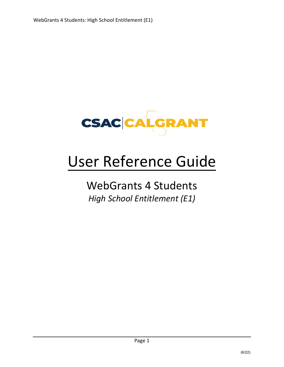

# User Reference Guide

# WebGrants 4 Students *High School Entitlement (E1)*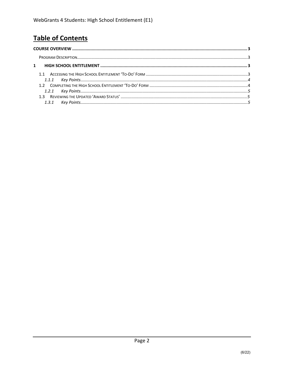# **Table of Contents**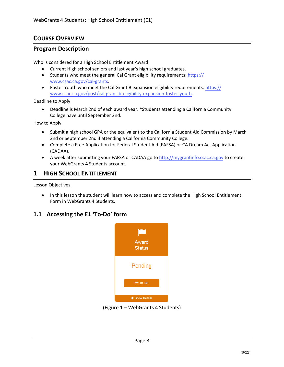# <span id="page-2-0"></span>**COURSE OVERVIEW**

#### <span id="page-2-1"></span>**Program Description**

Who is considered for a High School Entitlement Award

- Current High school seniors and last year's high school graduates.
- Students who meet the general Cal Grant eligibility requirements: https:// www.csac.ca.gov/cal-grants.
- Foster Youth who meet the Cal Grant B expansion eligibility requirements: https:// www.csac.ca.gov/post/cal-grant-b-eligibility-expansion-foster-youth.

Deadline to Apply

• Deadline is March 2nd of each award year. \*Students attending a California Community College have until September 2nd.

How to Apply

- Submit a high school GPA or the equivalent to the California Student Aid Commission by March 2nd or September 2nd if attending a California Community College.
- Complete a Free Application for Federal Student Aid (FAFSA) or CA Dream Act Application (CADAA).
- A week after submitting your FAFSA or CADAA go to http://mygrantinfo.csac.ca.gov to create your WebGrants 4 Students account.

#### **1 HIGH SCHOOL ENTITLEMENT**

Lesson Objectives:

• In this lesson the student will learn how to access and complete the High School Entitlement Form in WebGrants 4 Students.

### **1.1 Accessing the E1 'To-Do' form**



(Figure 1 – WebGrants 4 Students)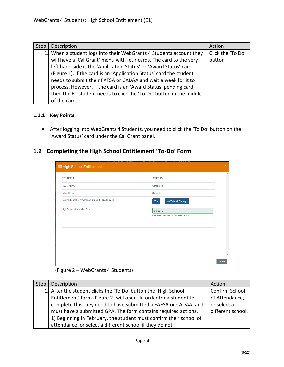| <b>Step</b> | Description                                                         | Action            |
|-------------|---------------------------------------------------------------------|-------------------|
|             | 1. When a student logs into their WebGrants 4 Students account they | Click the 'To Do' |
|             | will have a 'Cal Grant' menu with four cards. The card to the very  | button            |
|             | left hand side is the 'Application Status' or 'Award Status' card   |                   |
|             | (Figure 1). If the card is an 'Application Status' card the student |                   |
|             | needs to submit their FAFSA or CADAA and wait a week for it to      |                   |
|             | process. However, if the card is an 'Award Status' pending card,    |                   |
|             | then the E1 student needs to click the 'To Do' button in the middle |                   |
|             | of the card.                                                        |                   |

#### <span id="page-3-0"></span>**1.1.1 Key Points**

• After logging into WebGrants 4 Students, you need to click the 'To Do' button on the 'Award Status' card under the Cal Grant panel.

## **1.2 Completing the High School Entitlement 'To-Do' Form**

| <b>IE</b> High School Entitlement              |                                                   | $\mathbf x$             |  |
|------------------------------------------------|---------------------------------------------------|-------------------------|--|
| <b>CRITERIA</b>                                | <b>STATUS</b>                                     | $\Delta$                |  |
| <b>FILE CADAA</b>                              | Completed                                         |                         |  |
| Submit GPA                                     | Submitted                                         |                         |  |
| Confirm School of Attendance at CSU LONG BEACH | No/School Change<br>Yes                           |                         |  |
| <b>High School Graduation Date</b>             | 06/2019                                           |                         |  |
|                                                | Graduation date will be available after Jun 2019. |                         |  |
|                                                |                                                   |                         |  |
|                                                |                                                   |                         |  |
|                                                |                                                   |                         |  |
|                                                |                                                   |                         |  |
|                                                |                                                   | $\overline{\mathbf{v}}$ |  |
|                                                |                                                   | <b>Close</b>            |  |

#### (Figure 2 – WebGrants 4 Students)

| <b>Step</b> | Description                                                        | Action            |
|-------------|--------------------------------------------------------------------|-------------------|
|             | 1. After the student clicks the 'To Do' button the 'High School    | Confirm School    |
|             | Entitlement' form (Figure 2) will open. In order for a student to  | of Attendance,    |
|             | complete this they need to have submitted a FAFSA or CADAA, and    | or select a       |
|             | must have a submitted GPA. The form contains required actions.     | different school. |
|             | 1) Beginning in February, the student must confirm their school of |                   |
|             | attendance, or select a different school if they do not            |                   |